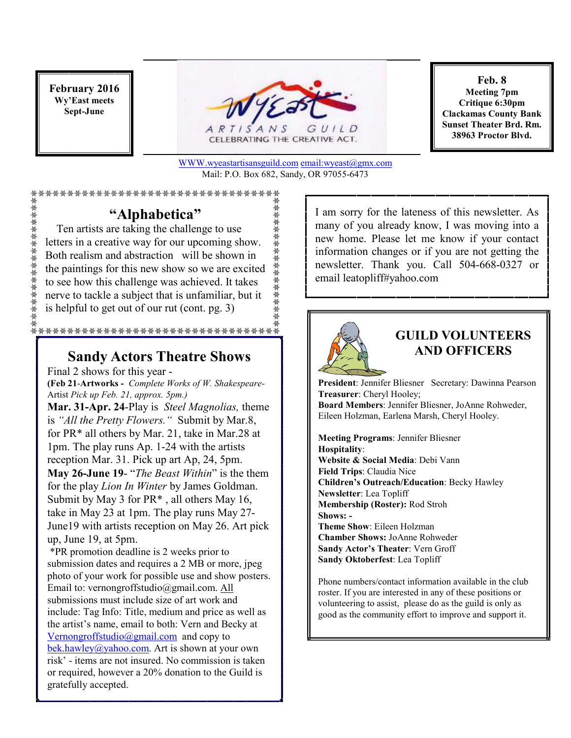**February 2016 Wy'East meets Sept-June** 

黃紫紫紫紫紫紫紫紫紫紫紫紫紫



CELEBRATING THE CREATIVE ACT.

**Feb. 8 Meeting 7pm Critique 6:30pm Clackamas County Bank Sunset Theater Brd. Rm. 38963 Proctor Blvd.**

WWW.wyeastartisansguild.com email:wyeast@gmx.com Mail: P.O. Box 682, Sandy, OR 97055-6473

\*\*\*\*\*\*

### \*\*\*\*\*\*\*\*\*\*\*\*\*\*\*\*\*\*\*\*\*\*\*\*\*\*\*\*\*\*\*\*

## **"Alphabetica"**

 Ten artists are taking the challenge to use letters in a creative way for our upcoming show. Both realism and abstraction will be shown in the paintings for this new show so we are excited to see how this challenge was achieved. It takes nerve to tackle a subject that is unfamiliar, but it is helpful to get out of our rut (cont. pg. 3)

### \*\*\*\*\*\*\*\*\*\*\*\*\*\*\*\*\*\*\*\*\*\*\*\*\*\*\*\*\*\*\*\*\*

## **Sandy Actors Theatre Shows**

Final 2 shows for this year - **(Feb 21**-**Artworks -** *Complete Works of W. Shakespeare-*Artist *Pick up Feb. 21, approx. 5pm.)* 

**Mar. 31-Apr. 24**-Play is *Steel Magnolias,* theme is *"All the Pretty Flowers."* Submit by Mar.8, for PR\* all others by Mar. 21, take in Mar.28 at 1pm. The play runs Ap. 1-24 with the artists reception Mar. 31. Pick up art Ap, 24, 5pm. **May 26-June 19**- "*The Beast Within*" is the them for the play *Lion In Winter* by James Goldman. Submit by May 3 for PR\* , all others May 16, take in May 23 at 1pm. The play runs May 27- June19 with artists reception on May 26. Art pick up, June 19, at 5pm.

 \*PR promotion deadline is 2 weeks prior to submission dates and requires a 2 MB or more, jpeg photo of your work for possible use and show posters. Email to: vernongroffstudio@gmail.com. All submissions must include size of art work and include: Tag Info: Title, medium and price as well as the artist's name, email to both: Vern and Becky at Vernongroffstudio@gmail.com and copy to bek.hawley@yahoo.com. Art is shown at your own risk' - items are not insured. No commission is taken or required, however a 20% donation to the Guild is gratefully accepted.

I am sorry for the lateness of this newsletter. As many of you already know, I was moving into a new home. Please let me know if your contact information changes or if you are not getting the newsletter. Thank you. Call 504-668-0327 or email leatopliff#yahoo.com



# **GUILD VOLUNTEERS AND OFFICERS**

**President**: Jennifer Bliesner Secretary: Dawinna Pearson **Treasurer**: Cheryl Hooley; **Board Members**: Jennifer Bliesner, JoAnne Rohweder, Eileen Holzman, Earlena Marsh, Cheryl Hooley.

**Meeting Programs**: Jennifer Bliesner **Hospitality**: **Website & Social Media**: Debi Vann **Field Trips**: Claudia Nice **Children's Outreach/Education**: Becky Hawley **Newsletter**: Lea Topliff **Membership (Roster):** Rod Stroh **Shows: - Theme Show**: Eileen Holzman **Chamber Shows:** JoAnne Rohweder **Sandy Actor's Theater**: Vern Groff **Sandy Oktoberfest**: Lea Topliff

Phone numbers/contact information available in the club roster. If you are interested in any of these positions or volunteering to assist, please do as the guild is only as good as the community effort to improve and support it.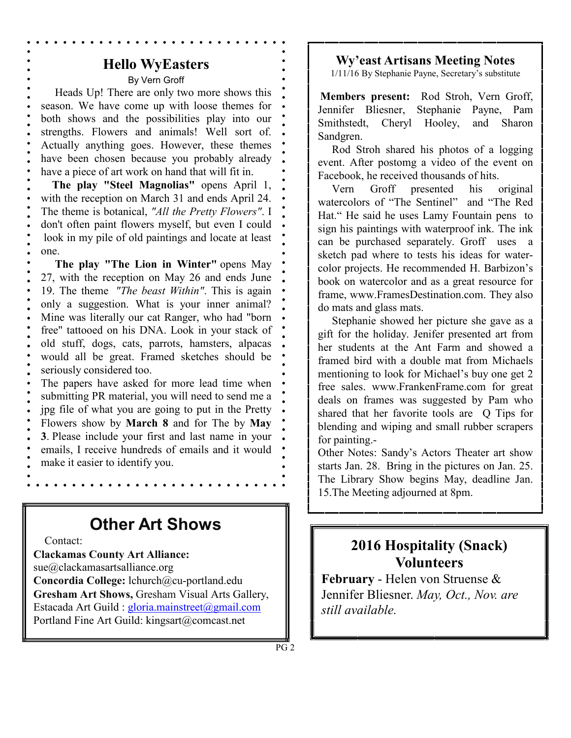## **Hello WyEasters**

By Vern Groff

 Heads Up! There are only two more shows this season. We have come up with loose themes for both shows and the possibilities play into our strengths. Flowers and animals! Well sort of. Actually anything goes. However, these themes have been chosen because you probably already have a piece of art work on hand that will fit in.

 **The play "Steel Magnolias"** opens April 1, with the reception on March 31 and ends April 24. The theme is botanical, *"All the Pretty Flowers"*. I don't often paint flowers myself, but even I could look in my pile of old paintings and locate at least one.

 **The play "The Lion in Winter"** opens May 27, with the reception on May 26 and ends June 19. The theme *"The beast Within"*. This is again only a suggestion. What is your inner animal? Mine was literally our cat Ranger, who had "born free" tattooed on his DNA. Look in your stack of old stuff, dogs, cats, parrots, hamsters, alpacas would all be great. Framed sketches should be seriously considered too.

The papers have asked for more lead time when submitting PR material, you will need to send me a jpg file of what you are going to put in the Pretty Flowers show by **March 8** and for The by **May 3**. Please include your first and last name in your emails, I receive hundreds of emails and it would make it easier to identify you.

# **Other Art Shows**

Contact:

**Clackamas County Art Alliance:**  sue@clackamasartsalliance.org **Concordia College:** lchurch@cu-portland.edu **Gresham Art Shows,** Gresham Visual Arts Gallery, Estacada Art Guild : gloria.mainstreet@gmail.com Portland Fine Art Guild: kingsart@comcast.net

**Wy'east Artisans Meeting Notes** 

1/11/16 By Stephanie Payne, Secretary's substitute

**Members present:** Rod Stroh, Vern Groff, Jennifer Bliesner, Stephanie Payne, Pam Smithstedt, Cheryl Hooley, and Sharon Sandgren.

 Rod Stroh shared his photos of a logging event. After postomg a video of the event on Facebook, he received thousands of hits.

 Vern Groff presented his original watercolors of "The Sentinel" and "The Red Hat." He said he uses Lamy Fountain pens to sign his paintings with waterproof ink. The ink can be purchased separately. Groff uses a sketch pad where to tests his ideas for watercolor projects. He recommended H. Barbizon's book on watercolor and as a great resource for frame, www.FramesDestination.com. They also do mats and glass mats.

 Stephanie showed her picture she gave as a gift for the holiday. Jenifer presented art from her students at the Ant Farm and showed a framed bird with a double mat from Michaels mentioning to look for Michael's buy one get 2 free sales. www.FrankenFrame.com for great deals on frames was suggested by Pam who shared that her favorite tools are Q Tips for blending and wiping and small rubber scrapers for painting.-

Other Notes: Sandy's Actors Theater art show starts Jan. 28. Bring in the pictures on Jan. 25. The Library Show begins May, deadline Jan. 15.The Meeting adjourned at 8pm.

# **2016 Hospitality (Snack) Volunteers**

**February** - Helen von Struense & Jennifer Bliesner. *May, Oct., Nov. are still available.*